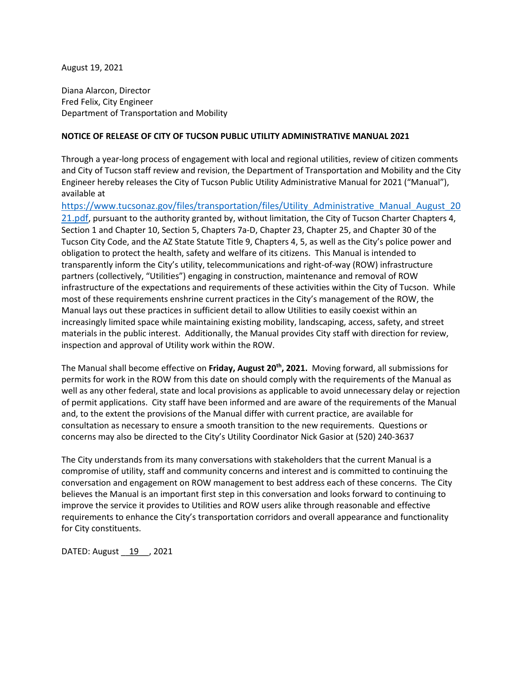August 19, 2021

Diana Alarcon, Director Fred Felix, City Engineer Department of Transportation and Mobility

## **NOTICE OF RELEASE OF CITY OF TUCSON PUBLIC UTILITY ADMINISTRATIVE MANUAL 2021**

Through a year-long process of engagement with local and regional utilities, review of citizen comments and City of Tucson staff review and revision, the Department of Transportation and Mobility and the City Engineer hereby releases the City of Tucson Public Utility Administrative Manual for 2021 ("Manual"), available at

[https://www.tucsonaz.gov/files/transportation/files/Utility\\_Administrative\\_Manual\\_August\\_20](https://www.tucsonaz.gov/files/transportation/files/Utility_Administrative_Manual_August_2021.pdf) [21.pdf,](https://www.tucsonaz.gov/files/transportation/files/Utility_Administrative_Manual_August_2021.pdf) pursuant to the authority granted by, without limitation, the City of Tucson Charter Chapters 4, Section 1 and Chapter 10, Section 5, Chapters 7a-D, Chapter 23, Chapter 25, and Chapter 30 of the Tucson City Code, and the AZ State Statute Title 9, Chapters 4, 5, as well as the City's police power and obligation to protect the health, safety and welfare of its citizens. This Manual is intended to transparently inform the City's utility, telecommunications and right-of-way (ROW) infrastructure partners (collectively, "Utilities") engaging in construction, maintenance and removal of ROW infrastructure of the expectations and requirements of these activities within the City of Tucson. While most of these requirements enshrine current practices in the City's management of the ROW, the Manual lays out these practices in sufficient detail to allow Utilities to easily coexist within an increasingly limited space while maintaining existing mobility, landscaping, access, safety, and street materials in the public interest. Additionally, the Manual provides City staff with direction for review, inspection and approval of Utility work within the ROW.

The Manual shall become effective on **Friday, August 20th, 2021.** Moving forward, all submissions for permits for work in the ROW from this date on should comply with the requirements of the Manual as well as any other federal, state and local provisions as applicable to avoid unnecessary delay or rejection of permit applications. City staff have been informed and are aware of the requirements of the Manual and, to the extent the provisions of the Manual differ with current practice, are available for consultation as necessary to ensure a smooth transition to the new requirements. Questions or concerns may also be directed to the City's Utility Coordinator Nick Gasior at (520) 240-3637

The City understands from its many conversations with stakeholders that the current Manual is a compromise of utility, staff and community concerns and interest and is committed to continuing the conversation and engagement on ROW management to best address each of these concerns. The City believes the Manual is an important first step in this conversation and looks forward to continuing to improve the service it provides to Utilities and ROW users alike through reasonable and effective requirements to enhance the City's transportation corridors and overall appearance and functionality for City constituents.

DATED: August \_\_ 19 \_\_ , 2021